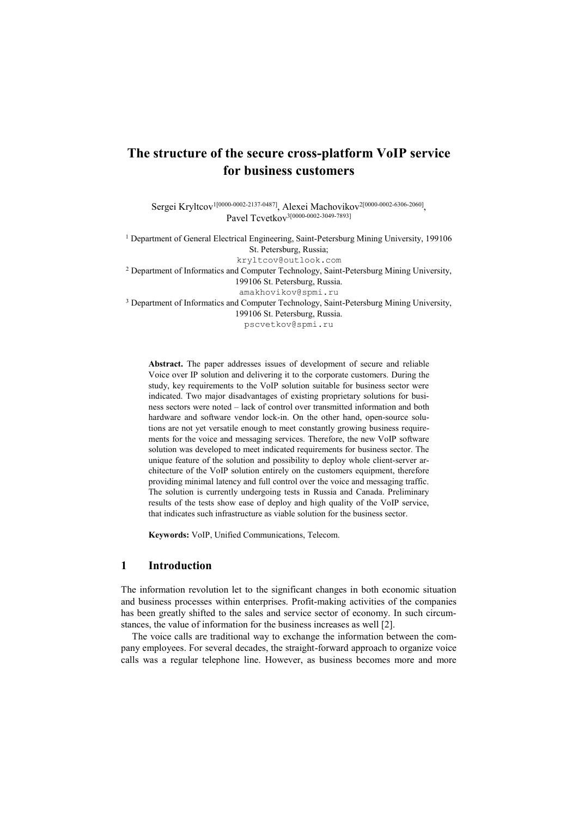# **The structure of the secure cross-platform VoIP service for business customers**

Sergei Kryltcov<sup>1[0000-0002-2137-0487]</sup>, Alexei Machovikov<sup>2[0000-0002-6306-2060]</sup>, Pavel Tcvetkov<sup>3[0000-0002-3049-7893]</sup>

<sup>1</sup> Department of General Electrical Engineering, Saint-Petersburg Mining University, 199106 St. Petersburg, Russia; [kryltcov@outlook.com](mailto:kryltcov@outlook.com) <sup>2</sup> Department of Informatics and Computer Technology, Saint-Petersburg Mining University, 199106 St. Petersburg, Russia. [amakhovikov@spmi.ru](mailto:amakhovikov@spmi.ru) <sup>3</sup> Department of Informatics and Computer Technology, Saint-Petersburg Mining University, 199106 St. Petersburg, Russia. pscvetkov@spmi.ru

**Abstract.** The paper addresses issues of development of secure and reliable Voice over IP solution and delivering it to the corporate customers. During the study, key requirements to the VoIP solution suitable for business sector were indicated. Two major disadvantages of existing proprietary solutions for business sectors were noted – lack of control over transmitted information and both hardware and software vendor lock-in. On the other hand, open-source solutions are not yet versatile enough to meet constantly growing business requirements for the voice and messaging services. Therefore, the new VoIP software solution was developed to meet indicated requirements for business sector. The unique feature of the solution and possibility to deploy whole client-server architecture of the VoIP solution entirely on the customers equipment, therefore providing minimal latency and full control over the voice and messaging traffic. The solution is currently undergoing tests in Russia and Canada. Preliminary results of the tests show ease of deploy and high quality of the VoIP service, that indicates such infrastructure as viable solution for the business sector.

**Keywords:** VoIP, Unified Communications, Telecom.

## **1 Introduction**

The information revolution let to the significant changes in both economic situation and business processes within enterprises. Profit-making activities of the companies has been greatly shifted to the sales and service sector of economy. In such circumstances, the value of information for the business increases as well [2].

The voice calls are traditional way to exchange the information between the company employees. For several decades, the straight-forward approach to organize voice calls was a regular telephone line. However, as business becomes more and more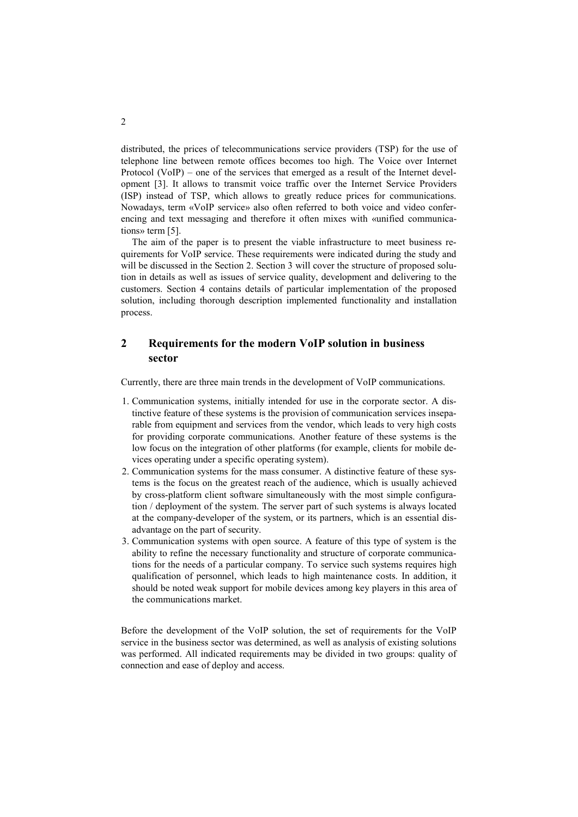distributed, the prices of telecommunications service providers (TSP) for the use of telephone line between remote offices becomes too high. The Voice over Internet Protocol (VoIP) – one of the services that emerged as a result of the Internet development [3]. It allows to transmit voice traffic over the Internet Service Providers (ISP) instead of TSP, which allows to greatly reduce prices for communications. Nowadays, term «VoIP service» also often referred to both voice and video conferencing and text messaging and therefore it often mixes with «unified communications» term [5].

The aim of the paper is to present the viable infrastructure to meet business requirements for VoIP service. These requirements were indicated during the study and will be discussed in the Section 2. Section 3 will cover the structure of proposed solution in details as well as issues of service quality, development and delivering to the customers. Section 4 contains details of particular implementation of the proposed solution, including thorough description implemented functionality and installation process.

## **2 Requirements for the modern VoIP solution in business sector**

Currently, there are three main trends in the development of VoIP communications.

- 1. Communication systems, initially intended for use in the corporate sector. A distinctive feature of these systems is the provision of communication services inseparable from equipment and services from the vendor, which leads to very high costs for providing corporate communications. Another feature of these systems is the low focus on the integration of other platforms (for example, clients for mobile devices operating under a specific operating system).
- 2. Communication systems for the mass consumer. A distinctive feature of these systems is the focus on the greatest reach of the audience, which is usually achieved by cross-platform client software simultaneously with the most simple configuration / deployment of the system. The server part of such systems is always located at the company-developer of the system, or its partners, which is an essential disadvantage on the part of security.
- 3. Communication systems with open source. A feature of this type of system is the ability to refine the necessary functionality and structure of corporate communications for the needs of a particular company. To service such systems requires high qualification of personnel, which leads to high maintenance costs. In addition, it should be noted weak support for mobile devices among key players in this area of the communications market.

Before the development of the VoIP solution, the set of requirements for the VoIP service in the business sector was determined, as well as analysis of existing solutions was performed. All indicated requirements may be divided in two groups: quality of connection and ease of deploy and access.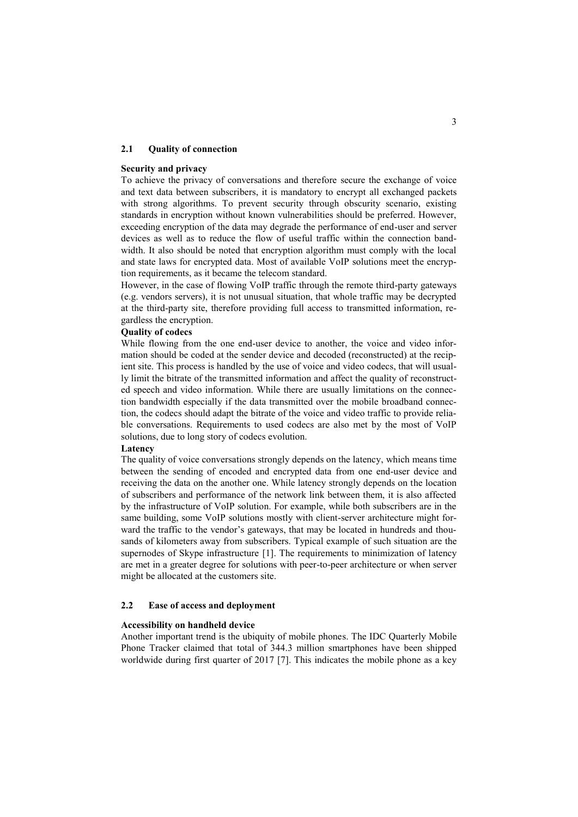### **2.1 Quality of connection**

### **Security and privacy**

To achieve the privacy of conversations and therefore secure the exchange of voice and text data between subscribers, it is mandatory to encrypt all exchanged packets with strong algorithms. To prevent security through obscurity scenario, existing standards in encryption without known vulnerabilities should be preferred. However, exceeding encryption of the data may degrade the performance of end-user and server devices as well as to reduce the flow of useful traffic within the connection bandwidth. It also should be noted that encryption algorithm must comply with the local and state laws for encrypted data. Most of available VoIP solutions meet the encryption requirements, as it became the telecom standard.

However, in the case of flowing VoIP traffic through the remote third-party gateways (e.g. vendors servers), it is not unusual situation, that whole traffic may be decrypted at the third-party site, therefore providing full access to transmitted information, regardless the encryption.

#### **Quality of codecs**

While flowing from the one end-user device to another, the voice and video information should be coded at the sender device and decoded (reconstructed) at the recipient site. This process is handled by the use of voice and video codecs, that will usually limit the bitrate of the transmitted information and affect the quality of reconstructed speech and video information. While there are usually limitations on the connection bandwidth especially if the data transmitted over the mobile broadband connection, the codecs should adapt the bitrate of the voice and video traffic to provide reliable conversations. Requirements to used codecs are also met by the most of VoIP solutions, due to long story of codecs evolution.

#### **Latency**

The quality of voice conversations strongly depends on the latency, which means time between the sending of encoded and encrypted data from one end-user device and receiving the data on the another one. While latency strongly depends on the location of subscribers and performance of the network link between them, it is also affected by the infrastructure of VoIP solution. For example, while both subscribers are in the same building, some VoIP solutions mostly with client-server architecture might forward the traffic to the vendor's gateways, that may be located in hundreds and thousands of kilometers away from subscribers. Typical example of such situation are the supernodes of Skype infrastructure [1]. The requirements to minimization of latency are met in a greater degree for solutions with peer-to-peer architecture or when server might be allocated at the customers site.

### **2.2 Ease of access and deployment**

#### **Accessibility on handheld device**

Another important trend is the ubiquity of mobile phones. The IDC Quarterly Mobile Phone Tracker claimed that total of 344.3 million smartphones have been shipped worldwide during first quarter of 2017 [7]. This indicates the mobile phone as a key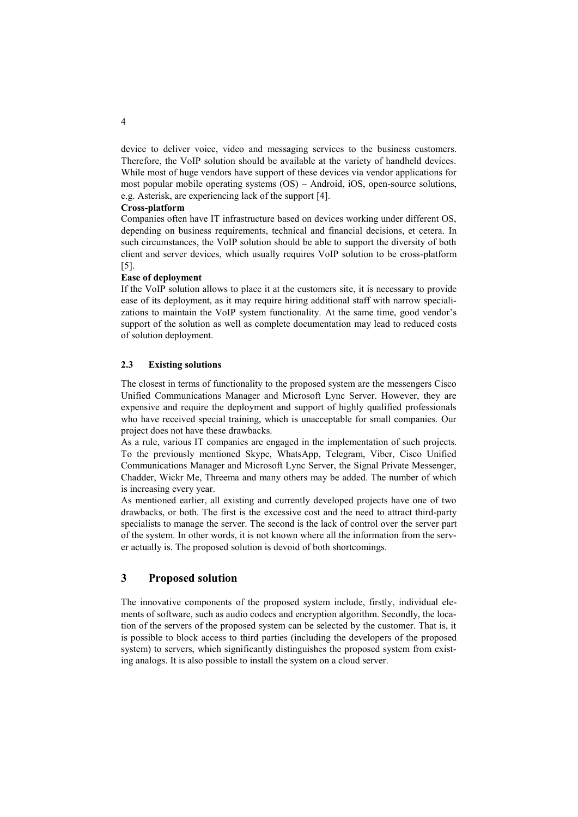device to deliver voice, video and messaging services to the business customers. Therefore, the VoIP solution should be available at the variety of handheld devices. While most of huge vendors have support of these devices via vendor applications for most popular mobile operating systems (OS) – Android, iOS, open-source solutions, e.g. Asterisk, are experiencing lack of the support [4].

#### **Cross-platform**

Companies often have IT infrastructure based on devices working under different OS, depending on business requirements, technical and financial decisions, et cetera. In such circumstances, the VoIP solution should be able to support the diversity of both client and server devices, which usually requires VoIP solution to be cross-platform [5].

#### **Ease of deployment**

If the VoIP solution allows to place it at the customers site, it is necessary to provide ease of its deployment, as it may require hiring additional staff with narrow specializations to maintain the VoIP system functionality. At the same time, good vendor's support of the solution as well as complete documentation may lead to reduced costs of solution deployment.

## **2.3 Existing solutions**

The closest in terms of functionality to the proposed system are the messengers Cisco Unified Communications Manager and Microsoft Lync Server. However, they are expensive and require the deployment and support of highly qualified professionals who have received special training, which is unacceptable for small companies. Our project does not have these drawbacks.

As a rule, various IT companies are engaged in the implementation of such projects. To the previously mentioned Skype, WhatsApp, Telegram, Viber, Cisco Unified Communications Manager and Microsoft Lync Server, the Signal Private Messenger, Chadder, Wickr Me, Threema and many others may be added. The number of which is increasing every year.

As mentioned earlier, all existing and currently developed projects have one of two drawbacks, or both. The first is the excessive cost and the need to attract third-party specialists to manage the server. The second is the lack of control over the server part of the system. In other words, it is not known where all the information from the server actually is. The proposed solution is devoid of both shortcomings.

## **3 Proposed solution**

The innovative components of the proposed system include, firstly, individual elements of software, such as audio codecs and encryption algorithm. Secondly, the location of the servers of the proposed system can be selected by the customer. That is, it is possible to block access to third parties (including the developers of the proposed system) to servers, which significantly distinguishes the proposed system from existing analogs. It is also possible to install the system on a cloud server.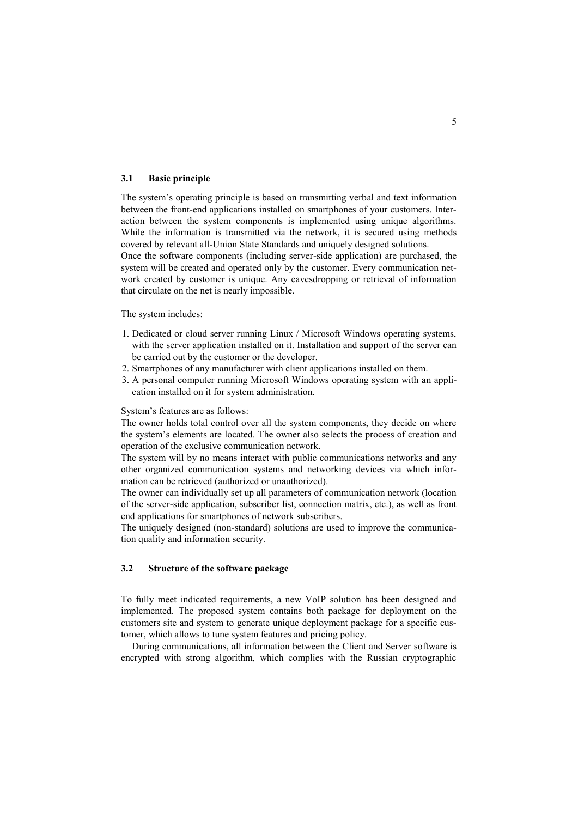### **3.1 Basic principle**

The system's operating principle is based on transmitting verbal and text information between the front-end applications installed on smartphones of your customers. Interaction between the system components is implemented using unique algorithms. While the information is transmitted via the network, it is secured using methods covered by relevant all-Union State Standards and uniquely designed solutions. Once the software components (including server-side application) are purchased, the system will be created and operated only by the customer. Every communication network created by customer is unique. Any eavesdropping or retrieval of information that circulate on the net is nearly impossible.

The system includes:

- 1. Dedicated or cloud server running Linux / Microsoft Windows operating systems, with the server application installed on it. Installation and support of the server can be carried out by the customer or the developer.
- 2. Smartphones of any manufacturer with client applications installed on them.
- 3. A personal computer running Microsoft Windows operating system with an application installed on it for system administration.

System's features are as follows:

The owner holds total control over all the system components, they decide on where the system's elements are located. The owner also selects the process of creation and operation of the exclusive communication network.

The system will by no means interact with public communications networks and any other organized communication systems and networking devices via which information can be retrieved (authorized or unauthorized).

The owner can individually set up all parameters of communication network (location of the server-side application, subscriber list, connection matrix, etc.), as well as front end applications for smartphones of network subscribers.

The uniquely designed (non-standard) solutions are used to improve the communication quality and information security.

## **3.2 Structure of the software package**

To fully meet indicated requirements, a new VoIP solution has been designed and implemented. The proposed system contains both package for deployment on the customers site and system to generate unique deployment package for a specific customer, which allows to tune system features and pricing policy.

During communications, all information between the Client and Server software is encrypted with strong algorithm, which complies with the Russian cryptographic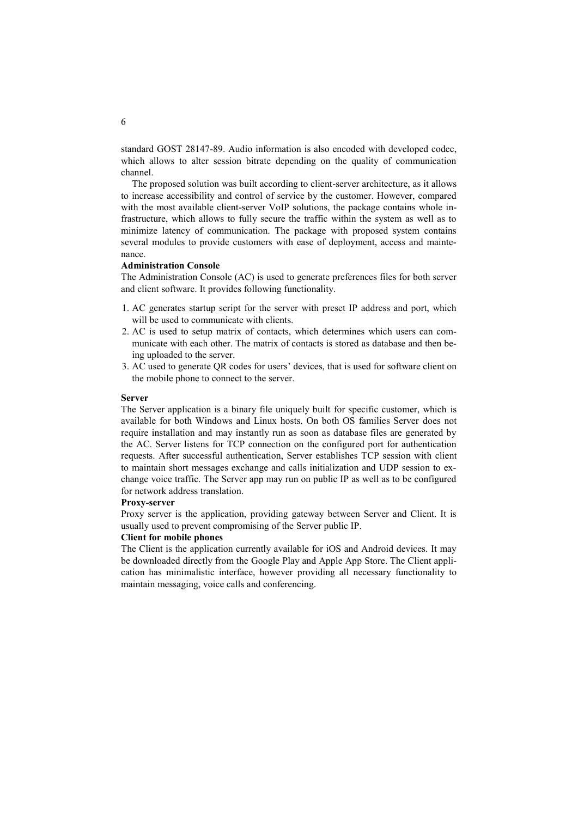standard GOST 28147-89. Audio information is also encoded with developed codec, which allows to alter session bitrate depending on the quality of communication channel.

The proposed solution was built according to client-server architecture, as it allows to increase accessibility and control of service by the customer. However, compared with the most available client-server VoIP solutions, the package contains whole infrastructure, which allows to fully secure the traffic within the system as well as to minimize latency of communication. The package with proposed system contains several modules to provide customers with ease of deployment, access and maintenance.

#### **Administration Console**

The Administration Console (AC) is used to generate preferences files for both server and client software. It provides following functionality.

- 1. AC generates startup script for the server with preset IP address and port, which will be used to communicate with clients.
- 2. AC is used to setup matrix of contacts, which determines which users can communicate with each other. The matrix of contacts is stored as database and then being uploaded to the server.
- 3. AC used to generate QR codes for users' devices, that is used for software client on the mobile phone to connect to the server.

#### **Server**

The Server application is a binary file uniquely built for specific customer, which is available for both Windows and Linux hosts. On both OS families Server does not require installation and may instantly run as soon as database files are generated by the AC. Server listens for TCP connection on the configured port for authentication requests. After successful authentication, Server establishes TCP session with client to maintain short messages exchange and calls initialization and UDP session to exchange voice traffic. The Server app may run on public IP as well as to be configured for network address translation.

#### **Proxy-server**

Proxy server is the application, providing gateway between Server and Client. It is usually used to prevent compromising of the Server public IP.

## **Client for mobile phones**

The Client is the application currently available for iOS and Android devices. It may be downloaded directly from the Google Play and Apple App Store. The Client application has minimalistic interface, however providing all necessary functionality to maintain messaging, voice calls and conferencing.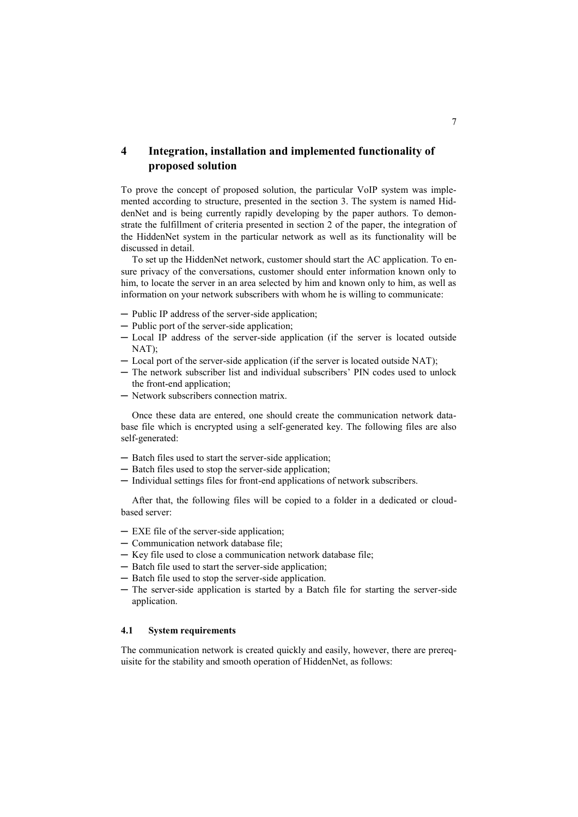## **4 Integration, installation and implemented functionality of proposed solution**

To prove the concept of proposed solution, the particular VoIP system was implemented according to structure, presented in the section 3. The system is named HiddenNet and is being currently rapidly developing by the paper authors. To demonstrate the fulfillment of criteria presented in section 2 of the paper, the integration of the HiddenNet system in the particular network as well as its functionality will be discussed in detail.

To set up the HiddenNet network, customer should start the AC application. To ensure privacy of the conversations, customer should enter information known only to him, to locate the server in an area selected by him and known only to him, as well as information on your network subscribers with whom he is willing to communicate:

- ─ Public IP address of the server-side application;
- ─ Public port of the server-side application;
- ─ Local IP address of the server-side application (if the server is located outside  $NAT$
- ─ Local port of the server-side application (if the server is located outside NAT);
- ─ The network subscriber list and individual subscribers' PIN codes used to unlock the front-end application;
- ─ Network subscribers connection matrix.

Once these data are entered, one should create the communication network database file which is encrypted using a self-generated key. The following files are also self-generated:

- ─ Batch files used to start the server-side application;
- ─ Batch files used to stop the server-side application;
- ─ Individual settings files for front-end applications of network subscribers.

After that, the following files will be copied to a folder in a dedicated or cloudbased server:

- ─ EXE file of the server-side application;
- ─ Communication network database file;
- ─ Key file used to close a communication network database file;
- ─ Batch file used to start the server-side application;
- ─ Batch file used to stop the server-side application.
- ─ The server-side application is started by a Batch file for starting the server-side application.

## **4.1 System requirements**

The communication network is created quickly and easily, however, there are prerequisite for the stability and smooth operation of HiddenNet, as follows: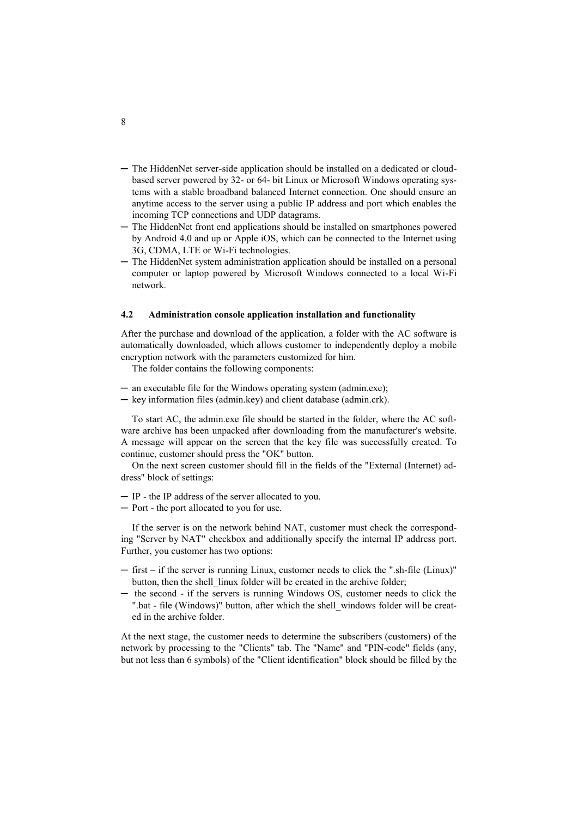- ─ The HiddenNet server-side application should be installed on a dedicated or cloudbased server powered by 32- or 64- bit Linux or Microsoft Windows operating systems with a stable broadband balanced Internet connection. One should ensure an anytime access to the server using a public IP address and port which enables the incoming TCP connections and UDP datagrams.
- ─ The HiddenNet front end applications should be installed on smartphones powered by Android 4.0 and up or Apple iOS, which can be connected to the Internet using 3G, CDMA, LTE or Wi-Fi technologies.
- ─ The HiddenNet system administration application should be installed on a personal computer or laptop powered by Microsoft Windows connected to a local Wi-Fi network.

### **4.2 Administration console application installation and functionality**

After the purchase and download of the application, a folder with the AC software is automatically downloaded, which allows customer to independently deploy a mobile encryption network with the parameters customized for him.

The folder contains the following components:

- ─ an executable file for the Windows operating system (admin.exe);
- ─ key information files (admin.key) and client database (admin.crk).

To start AC, the admin.exe file should be started in the folder, where the AC software archive has been unpacked after downloading from the manufacturer's website. A message will appear on the screen that the key file was successfully created. To continue, customer should press the "OK" button.

On the next screen customer should fill in the fields of the "External (Internet) address" block of settings:

- ─ IP the IP address of the server allocated to you.
- ─ Port the port allocated to you for use.

If the server is on the network behind NAT, customer must check the corresponding "Server by NAT" checkbox and additionally specify the internal IP address port. Further, you customer has two options:

- ─ first if the server is running Linux, customer needs to click the ".sh-file (Linux)" button, then the shell linux folder will be created in the archive folder;
- ─ the second if the servers is running Windows OS, customer needs to click the ".bat - file (Windows)" button, after which the shell\_windows folder will be created in the archive folder.

At the next stage, the customer needs to determine the subscribers (customers) of the network by processing to the "Clients" tab. The "Name" and "PIN-code" fields (any, but not less than 6 symbols) of the "Client identification" block should be filled by the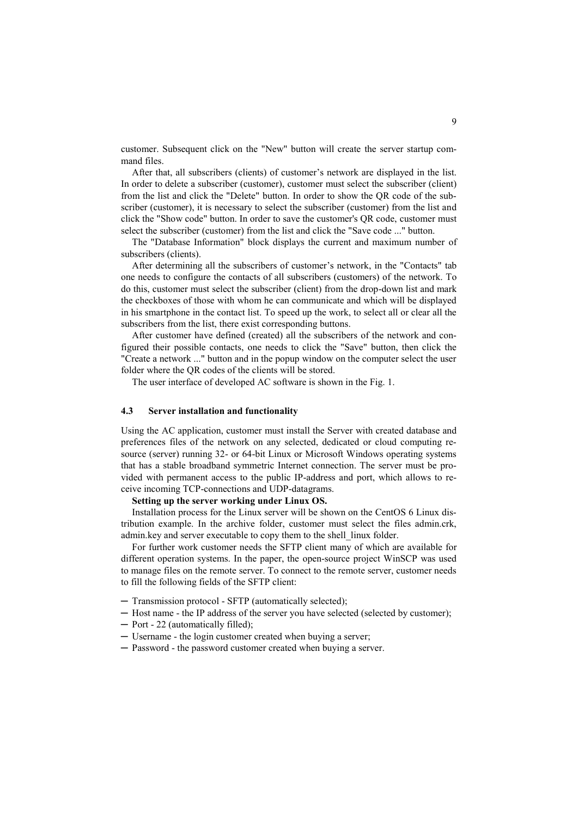customer. Subsequent click on the "New" button will create the server startup command files.

After that, all subscribers (clients) of customer's network are displayed in the list. In order to delete a subscriber (customer), customer must select the subscriber (client) from the list and click the "Delete" button. In order to show the QR code of the subscriber (customer), it is necessary to select the subscriber (customer) from the list and click the "Show code" button. In order to save the customer's QR code, customer must select the subscriber (customer) from the list and click the "Save code ..." button.

The "Database Information" block displays the current and maximum number of subscribers (clients).

After determining all the subscribers of customer's network, in the "Contacts" tab one needs to configure the contacts of all subscribers (customers) of the network. To do this, customer must select the subscriber (client) from the drop-down list and mark the checkboxes of those with whom he can communicate and which will be displayed in his smartphone in the contact list. To speed up the work, to select all or clear all the subscribers from the list, there exist corresponding buttons.

After customer have defined (created) all the subscribers of the network and configured their possible contacts, one needs to click the "Save" button, then click the "Create a network ..." button and in the popup window on the computer select the user folder where the QR codes of the clients will be stored.

The user interface of developed AC software is shown in the Fig. 1.

### **4.3 Server installation and functionality**

Using the AC application, customer must install the Server with created database and preferences files of the network on any selected, dedicated or cloud computing resource (server) running 32- or 64-bit Linux or Microsoft Windows operating systems that has a stable broadband symmetric Internet connection. The server must be provided with permanent access to the public IP-address and port, which allows to receive incoming TCP-connections and UDP-datagrams.

#### **Setting up the server working under Linux OS.**

Installation process for the Linux server will be shown on the CentOS 6 Linux distribution example. In the archive folder, customer must select the files admin.crk, admin.key and server executable to copy them to the shell\_linux folder.

For further work customer needs the SFTP client many of which are available for different operation systems. In the paper, the open-source project WinSCP was used to manage files on the remote server. To connect to the remote server, customer needs to fill the following fields of the SFTP client:

- ─ Transmission protocol SFTP (automatically selected);
- ─ Host name the IP address of the server you have selected (selected by customer);
- ─ Port 22 (automatically filled);
- ─ Username the login customer created when buying a server;
- ─ Password the password customer created when buying a server.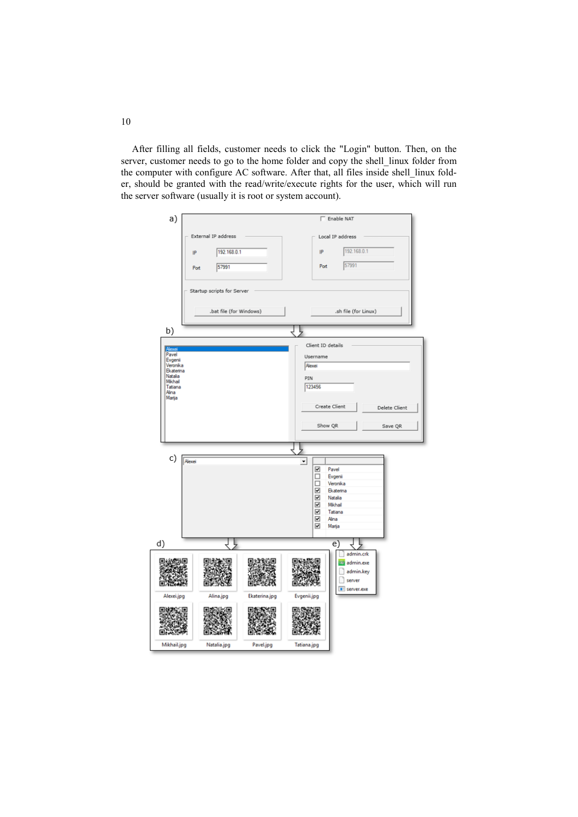After filling all fields, customer needs to click the "Login" button. Then, on the server, customer needs to go to the home folder and copy the shell linux folder from the computer with configure AC software. After that, all files inside shell\_linux folder, should be granted with the read/write/execute rights for the user, which will run the server software (usually it is root or system account).

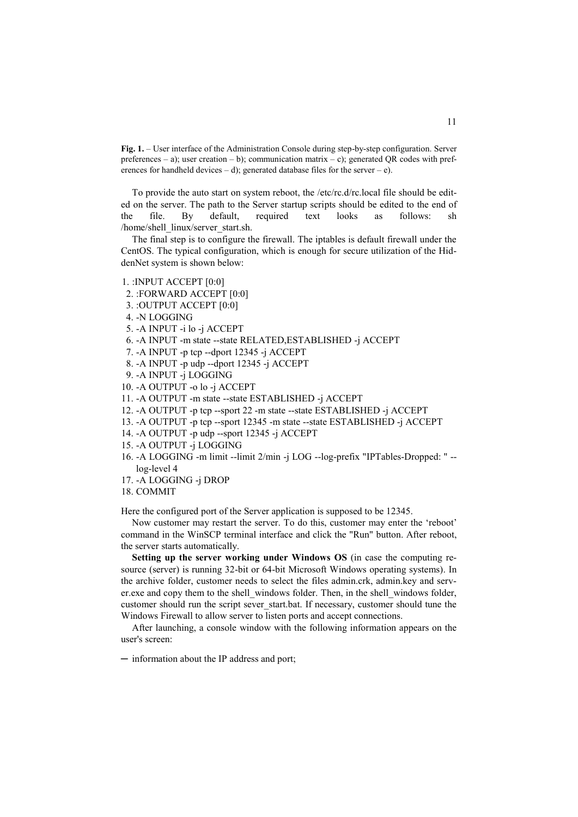**Fig. 1.** – User interface of the Administration Console during step-by-step configuration. Server preferences – a); user creation – b); communication matrix – c); generated QR codes with preferences for handheld devices – d); generated database files for the server – e).

To provide the auto start on system reboot, the /etc/rc.d/rc.local file should be edited on the server. The path to the Server startup scripts should be edited to the end of the file. By default, required text looks as follows: sh /home/shell\_linux/server\_start.sh.

The final step is to configure the firewall. The iptables is default firewall under the CentOS. The typical configuration, which is enough for secure utilization of the HiddenNet system is shown below:

- 1. :INPUT ACCEPT [0:0]
- 2. :FORWARD ACCEPT [0:0]
- 3. :OUTPUT ACCEPT [0:0]
- 4. -N LOGGING
- 5. -A INPUT -i lo -j ACCEPT
- 6. -A INPUT -m state --state RELATED,ESTABLISHED -j ACCEPT
- 7. -A INPUT -p tcp --dport 12345 -j ACCEPT
- 8. -A INPUT -p udp --dport 12345 -j ACCEPT
- 9. -A INPUT -j LOGGING
- 10. -A OUTPUT -o lo -j ACCEPT
- 11. -A OUTPUT -m state --state ESTABLISHED -j ACCEPT
- 12. -A OUTPUT -p tcp --sport 22 -m state --state ESTABLISHED -j ACCEPT
- 13. -A OUTPUT -p tcp --sport 12345 -m state --state ESTABLISHED -j ACCEPT
- 14. -A OUTPUT -p udp --sport 12345 -j ACCEPT
- 15. -A OUTPUT -j LOGGING
- 16. -A LOGGING -m limit --limit 2/min -j LOG --log-prefix "IPTables-Dropped: " log-level 4
- 17. -A LOGGING -j DROP
- 18. COMMIT

Here the configured port of the Server application is supposed to be 12345.

Now customer may restart the server. To do this, customer may enter the 'reboot' command in the WinSCP terminal interface and click the "Run" button. After reboot, the server starts automatically.

**Setting up the server working under Windows OS** (in case the computing resource (server) is running 32-bit or 64-bit Microsoft Windows operating systems). In the archive folder, customer needs to select the files admin.crk, admin.key and server.exe and copy them to the shell\_windows folder. Then, in the shell\_windows folder, customer should run the script sever\_start.bat. If necessary, customer should tune the Windows Firewall to allow server to listen ports and accept connections.

After launching, a console window with the following information appears on the user's screen:

─ information about the IP address and port;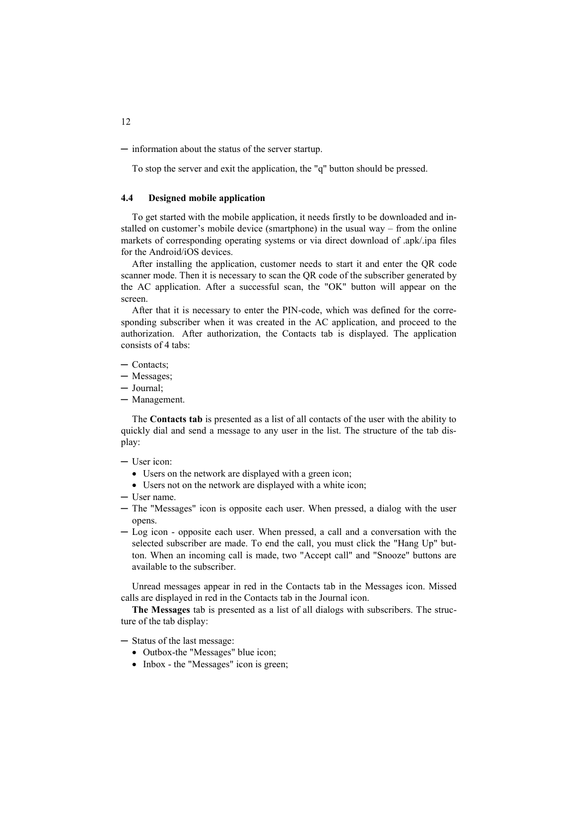─ information about the status of the server startup.

To stop the server and exit the application, the "q" button should be pressed.

## **4.4 Designed mobile application**

To get started with the mobile application, it needs firstly to be downloaded and installed on customer's mobile device (smartphone) in the usual way – from the online markets of corresponding operating systems or via direct download of .apk/.ipa files for the Android/iOS devices.

After installing the application, customer needs to start it and enter the QR code scanner mode. Then it is necessary to scan the QR code of the subscriber generated by the AC application. After a successful scan, the "OK" button will appear on the screen.

After that it is necessary to enter the PIN-code, which was defined for the corresponding subscriber when it was created in the AC application, and proceed to the authorization. After authorization, the Contacts tab is displayed. The application consists of 4 tabs:

- ─ Contacts;
- ─ Messages;
- ─ Journal;
- ─ Management.

The **Contacts tab** is presented as a list of all contacts of the user with the ability to quickly dial and send a message to any user in the list. The structure of the tab display:

#### ─ User icon:

- Users on the network are displayed with a green icon;
- Users not on the network are displayed with a white icon;
- ─ User name.
- ─ The "Messages" icon is opposite each user. When pressed, a dialog with the user opens.
- ─ Log icon opposite each user. When pressed, a call and a conversation with the selected subscriber are made. To end the call, you must click the "Hang Up" button. When an incoming call is made, two "Accept call" and "Snooze" buttons are available to the subscriber.

Unread messages appear in red in the Contacts tab in the Messages icon. Missed calls are displayed in red in the Contacts tab in the Journal icon.

**The Messages** tab is presented as a list of all dialogs with subscribers. The structure of the tab display:

- ─ Status of the last message:
	- Outbox-the "Messages" blue icon;
	- Inbox the "Messages" icon is green: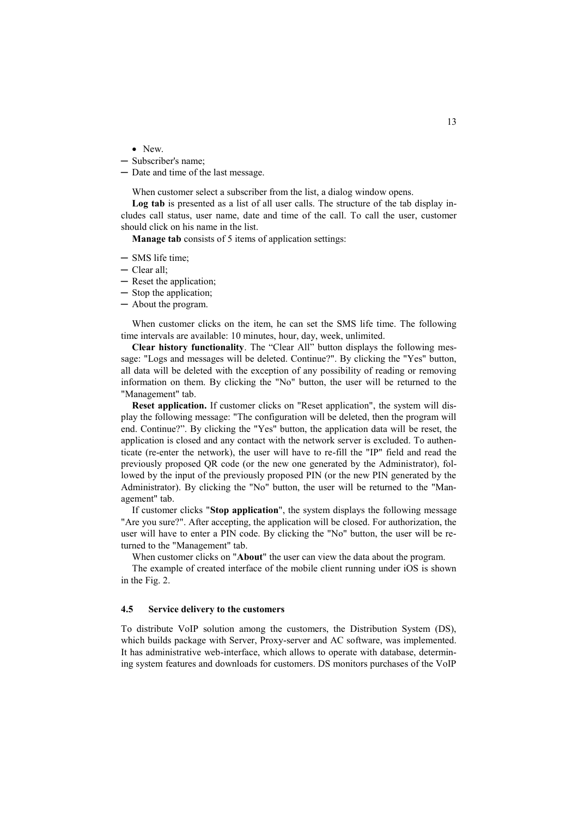• New.

- ─ Subscriber's name;
- ─ Date and time of the last message.

When customer select a subscriber from the list, a dialog window opens.

**Log tab** is presented as a list of all user calls. The structure of the tab display includes call status, user name, date and time of the call. To call the user, customer should click on his name in the list.

**Manage tab** consists of 5 items of application settings:

- ─ SMS life time;
- ─ Clear all;
- ─ Reset the application;
- ─ Stop the application;
- ─ About the program.

When customer clicks on the item, he can set the SMS life time. The following time intervals are available: 10 minutes, hour, day, week, unlimited.

**Clear history functionality**. The "Clear All" button displays the following message: "Logs and messages will be deleted. Continue?". By clicking the "Yes" button, all data will be deleted with the exception of any possibility of reading or removing information on them. By clicking the "No" button, the user will be returned to the "Management" tab.

**Reset application.** If customer clicks on "Reset application", the system will display the following message: "The configuration will be deleted, then the program will end. Continue?". By clicking the "Yes" button, the application data will be reset, the application is closed and any contact with the network server is excluded. To authenticate (re-enter the network), the user will have to re-fill the "IP" field and read the previously proposed QR code (or the new one generated by the Administrator), followed by the input of the previously proposed PIN (or the new PIN generated by the Administrator). By clicking the "No" button, the user will be returned to the "Management" tab.

If customer clicks "**Stop application**", the system displays the following message "Are you sure?". After accepting, the application will be closed. For authorization, the user will have to enter a PIN code. By clicking the "No" button, the user will be returned to the "Management" tab.

When customer clicks on "**About**" the user can view the data about the program.

The example of created interface of the mobile client running under iOS is shown in the Fig. 2.

#### **4.5 Service delivery to the customers**

To distribute VoIP solution among the customers, the Distribution System (DS), which builds package with Server, Proxy-server and AC software, was implemented. It has administrative web-interface, which allows to operate with database, determining system features and downloads for customers. DS monitors purchases of the VoIP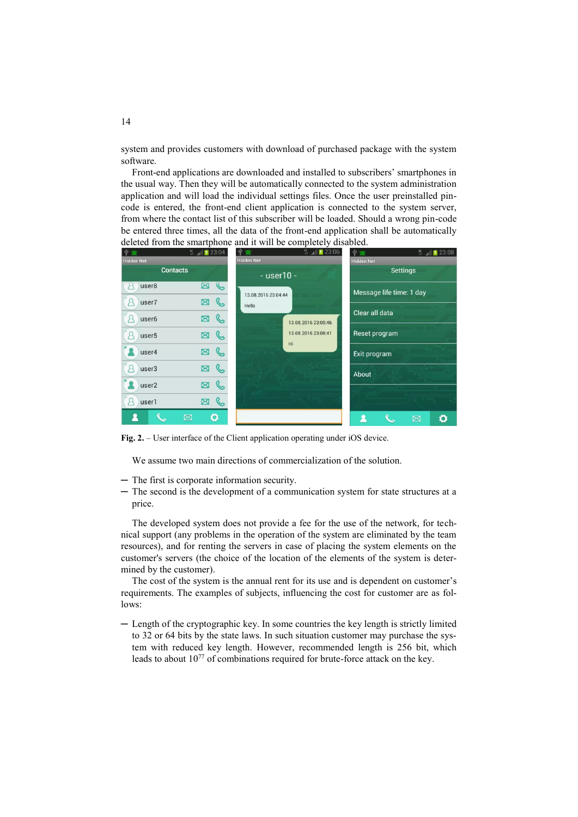system and provides customers with download of purchased package with the system software.

Front-end applications are downloaded and installed to subscribers' smartphones in the usual way. Then they will be automatically connected to the system administration application and will load the individual settings files. Once the user preinstalled pincode is entered, the front-end client application is connected to the system server, from where the contact list of this subscriber will be loaded. Should a wrong pin-code be entered three times, all the data of the front-end application shall be automatically deleted from the smartphone and it will be completely disabled.

| $\Psi =$               | $H_{\text{at}}$ 23:04 | $H_{\text{at}}$ 23:06<br>中雪 | $\Psi \equiv$<br>$H$ 4 23:08 |
|------------------------|-----------------------|-----------------------------|------------------------------|
| <b>Hidden Net</b>      |                       | <b>Hidden Net</b>           | <b>Hidden Net</b>            |
| <b>Contacts</b>        |                       | - user10 -                  | <b>Settings</b>              |
| user <sub>8</sub>      | $\mathcal{C}$<br>Ŋ    | 13.08.2016 23:04:44         | Message life time: 1 day     |
| user7<br>Я             | ৻<br>⊠                | Hello                       |                              |
| Я<br>user <sub>6</sub> | ⊠                     | 13.08.2016 23:05:46         | Clear all data               |
| user <sub>5</sub><br>Ω | ৻<br>⊠                | 13.08.2016 23:08:41         | Reset program                |
| user4                  | Ø                     | Hi                          | Exit program                 |
| user3                  | ৻৻<br>図               |                             | About                        |
| user <sub>2</sub>      | ⊠                     |                             |                              |
| user1                  | ⋐<br>図                |                             |                              |
|                        | Ö<br>⊠                |                             | ۰<br>⊠                       |

**Fig. 2.** – User interface of the Client application operating under iOS device.

We assume two main directions of commercialization of the solution.

- ─ The first is corporate information security.
- ─ The second is the development of a communication system for state structures at a price.

The developed system does not provide a fee for the use of the network, for technical support (any problems in the operation of the system are eliminated by the team resources), and for renting the servers in case of placing the system elements on the customer's servers (the choice of the location of the elements of the system is determined by the customer).

The cost of the system is the annual rent for its use and is dependent on customer's requirements. The examples of subjects, influencing the cost for customer are as follows:

─ Length of the cryptographic key. In some countries the key length is strictly limited to 32 or 64 bits by the state laws. In such situation customer may purchase the system with reduced key length. However, recommended length is 256 bit, which leads to about 10<sup>77</sup> of combinations required for brute-force attack on the key.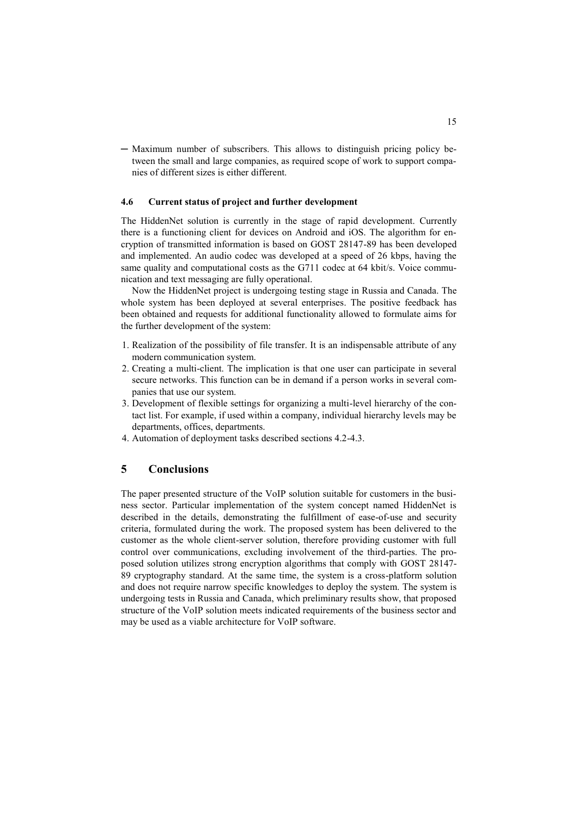─ Maximum number of subscribers. This allows to distinguish pricing policy between the small and large companies, as required scope of work to support companies of different sizes is either different.

## **4.6 Current status of project and further development**

The HiddenNet solution is currently in the stage of rapid development. Currently there is a functioning client for devices on Android and iOS. The algorithm for encryption of transmitted information is based on GOST 28147-89 has been developed and implemented. An audio codec was developed at a speed of 26 kbps, having the same quality and computational costs as the G711 codec at 64 kbit/s. Voice communication and text messaging are fully operational.

Now the HiddenNet project is undergoing testing stage in Russia and Canada. The whole system has been deployed at several enterprises. The positive feedback has been obtained and requests for additional functionality allowed to formulate aims for the further development of the system:

- 1. Realization of the possibility of file transfer. It is an indispensable attribute of any modern communication system.
- 2. Creating a multi-client. The implication is that one user can participate in several secure networks. This function can be in demand if a person works in several companies that use our system.
- 3. Development of flexible settings for organizing a multi-level hierarchy of the contact list. For example, if used within a company, individual hierarchy levels may be departments, offices, departments.
- 4. Automation of deployment tasks described sections 4.2-4.3.

## **5 Conclusions**

The paper presented structure of the VoIP solution suitable for customers in the business sector. Particular implementation of the system concept named HiddenNet is described in the details, demonstrating the fulfillment of ease-of-use and security criteria, formulated during the work. The proposed system has been delivered to the customer as the whole client-server solution, therefore providing customer with full control over communications, excluding involvement of the third-parties. The proposed solution utilizes strong encryption algorithms that comply with GOST 28147- 89 cryptography standard. At the same time, the system is a cross-platform solution and does not require narrow specific knowledges to deploy the system. The system is undergoing tests in Russia and Canada, which preliminary results show, that proposed structure of the VoIP solution meets indicated requirements of the business sector and may be used as a viable architecture for VoIP software.